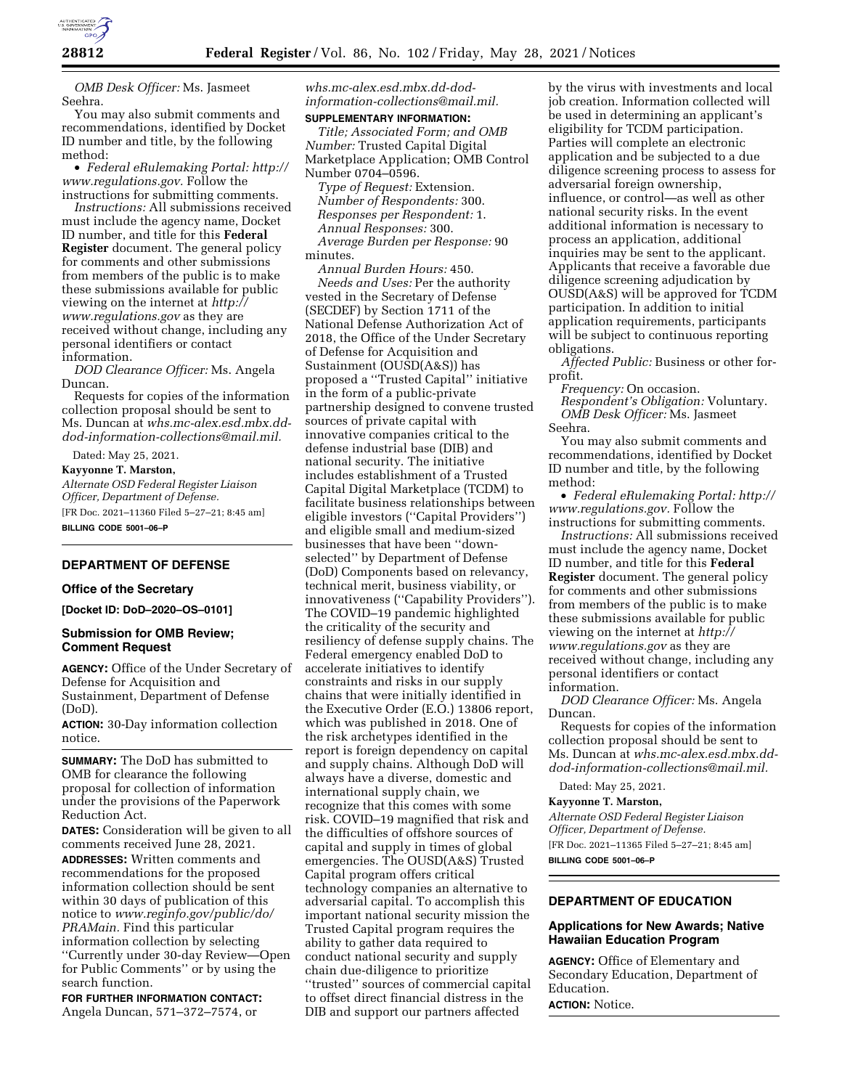

*OMB Desk Officer:* Ms. Jasmeet Seehra.

You may also submit comments and recommendations, identified by Docket ID number and title, by the following method:

• *Federal eRulemaking Portal: [http://](http://www.regulations.gov)  [www.regulations.gov.](http://www.regulations.gov)* Follow the instructions for submitting comments.

*Instructions:* All submissions received must include the agency name, Docket ID number, and title for this **Federal Register** document. The general policy for comments and other submissions from members of the public is to make these submissions available for public viewing on the internet at *[http://](http://www.regulations.gov) [www.regulations.gov](http://www.regulations.gov)* as they are received without change, including any personal identifiers or contact information.

*DOD Clearance Officer:* Ms. Angela Duncan.

Requests for copies of the information collection proposal should be sent to Ms. Duncan at *[whs.mc-alex.esd.mbx.dd](mailto:whs.mc-alex.esd.mbx.dd-dod-information-collections@mail.mil)[dod-information-collections@mail.mil.](mailto:whs.mc-alex.esd.mbx.dd-dod-information-collections@mail.mil)* 

Dated: May 25, 2021.

**Kayyonne T. Marston,** 

*Alternate OSD Federal Register Liaison Officer, Department of Defense.*  [FR Doc. 2021–11360 Filed 5–27–21; 8:45 am] **BILLING CODE 5001–06–P** 

# **DEPARTMENT OF DEFENSE**

# **Office of the Secretary**

**[Docket ID: DoD–2020–OS–0101]** 

# **Submission for OMB Review; Comment Request**

**AGENCY:** Office of the Under Secretary of Defense for Acquisition and Sustainment, Department of Defense (DoD).

**ACTION:** 30-Day information collection notice.

**SUMMARY:** The DoD has submitted to OMB for clearance the following proposal for collection of information under the provisions of the Paperwork Reduction Act.

**DATES:** Consideration will be given to all comments received June 28, 2021.

**ADDRESSES:** Written comments and recommendations for the proposed information collection should be sent within 30 days of publication of this notice to *[www.reginfo.gov/public/do/](http://www.reginfo.gov/public/do/PRAMain) [PRAMain.](http://www.reginfo.gov/public/do/PRAMain)* Find this particular information collection by selecting ''Currently under 30-day Review—Open for Public Comments'' or by using the search function.

**FOR FURTHER INFORMATION CONTACT:**  Angela Duncan, 571–372–7574, or

*[whs.mc-alex.esd.mbx.dd-dod](mailto:whs.mc-alex.esd.mbx.dd-dod-information-collections@mail.mil)[information-collections@mail.mil.](mailto:whs.mc-alex.esd.mbx.dd-dod-information-collections@mail.mil)* 

# **SUPPLEMENTARY INFORMATION:**

*Title; Associated Form; and OMB Number:* Trusted Capital Digital Marketplace Application; OMB Control Number 0704–0596.

*Type of Request:* Extension. *Number of Respondents:* 300. *Responses per Respondent:* 1. *Annual Responses:* 300. *Average Burden per Response:* 90 minutes.

*Annual Burden Hours:* 450. *Needs and Uses:* Per the authority vested in the Secretary of Defense (SECDEF) by Section 1711 of the National Defense Authorization Act of 2018, the Office of the Under Secretary of Defense for Acquisition and Sustainment (OUSD(A&S)) has proposed a ''Trusted Capital'' initiative in the form of a public-private partnership designed to convene trusted sources of private capital with innovative companies critical to the defense industrial base (DIB) and national security. The initiative includes establishment of a Trusted Capital Digital Marketplace (TCDM) to facilitate business relationships between eligible investors (''Capital Providers'') and eligible small and medium-sized businesses that have been ''downselected'' by Department of Defense (DoD) Components based on relevancy, technical merit, business viability, or innovativeness (''Capability Providers''). The COVID–19 pandemic highlighted the criticality of the security and resiliency of defense supply chains. The Federal emergency enabled DoD to accelerate initiatives to identify constraints and risks in our supply chains that were initially identified in the Executive Order (E.O.) 13806 report, which was published in 2018. One of the risk archetypes identified in the report is foreign dependency on capital and supply chains. Although DoD will always have a diverse, domestic and international supply chain, we recognize that this comes with some risk. COVID–19 magnified that risk and the difficulties of offshore sources of capital and supply in times of global emergencies. The OUSD(A&S) Trusted Capital program offers critical technology companies an alternative to adversarial capital. To accomplish this important national security mission the Trusted Capital program requires the ability to gather data required to conduct national security and supply chain due-diligence to prioritize ''trusted'' sources of commercial capital to offset direct financial distress in the DIB and support our partners affected

by the virus with investments and local job creation. Information collected will be used in determining an applicant's eligibility for TCDM participation. Parties will complete an electronic application and be subjected to a due diligence screening process to assess for adversarial foreign ownership, influence, or control—as well as other national security risks. In the event additional information is necessary to process an application, additional inquiries may be sent to the applicant. Applicants that receive a favorable due diligence screening adjudication by OUSD(A&S) will be approved for TCDM participation. In addition to initial application requirements, participants will be subject to continuous reporting obligations.

*Affected Public:* Business or other forprofit.

*Frequency:* On occasion.

*Respondent's Obligation:* Voluntary. *OMB Desk Officer:* Ms. Jasmeet Seehra.

You may also submit comments and recommendations, identified by Docket ID number and title, by the following method:

• *Federal eRulemaking Portal: [http://](http://www.regulations.gov)  [www.regulations.gov.](http://www.regulations.gov)* Follow the instructions for submitting comments.

*Instructions:* All submissions received must include the agency name, Docket ID number, and title for this **Federal Register** document. The general policy for comments and other submissions from members of the public is to make these submissions available for public viewing on the internet at *[http://](http://www.regulations.gov) [www.regulations.gov](http://www.regulations.gov)* as they are received without change, including any personal identifiers or contact information.

*DOD Clearance Officer:* Ms. Angela Duncan.

Requests for copies of the information collection proposal should be sent to Ms. Duncan at *[whs.mc-alex.esd.mbx.dd](mailto:whs.mc-alex.esd.mbx.dd-dod-information-collections@mail.mil)[dod-information-collections@mail.mil.](mailto:whs.mc-alex.esd.mbx.dd-dod-information-collections@mail.mil)* 

Dated: May 25, 2021.

## **Kayyonne T. Marston,**

*Alternate OSD Federal Register Liaison Officer, Department of Defense.*  [FR Doc. 2021–11365 Filed 5–27–21; 8:45 am]

**BILLING CODE 5001–06–P** 

# **DEPARTMENT OF EDUCATION**

## **Applications for New Awards; Native Hawaiian Education Program**

**AGENCY:** Office of Elementary and Secondary Education, Department of Education. **ACTION:** Notice.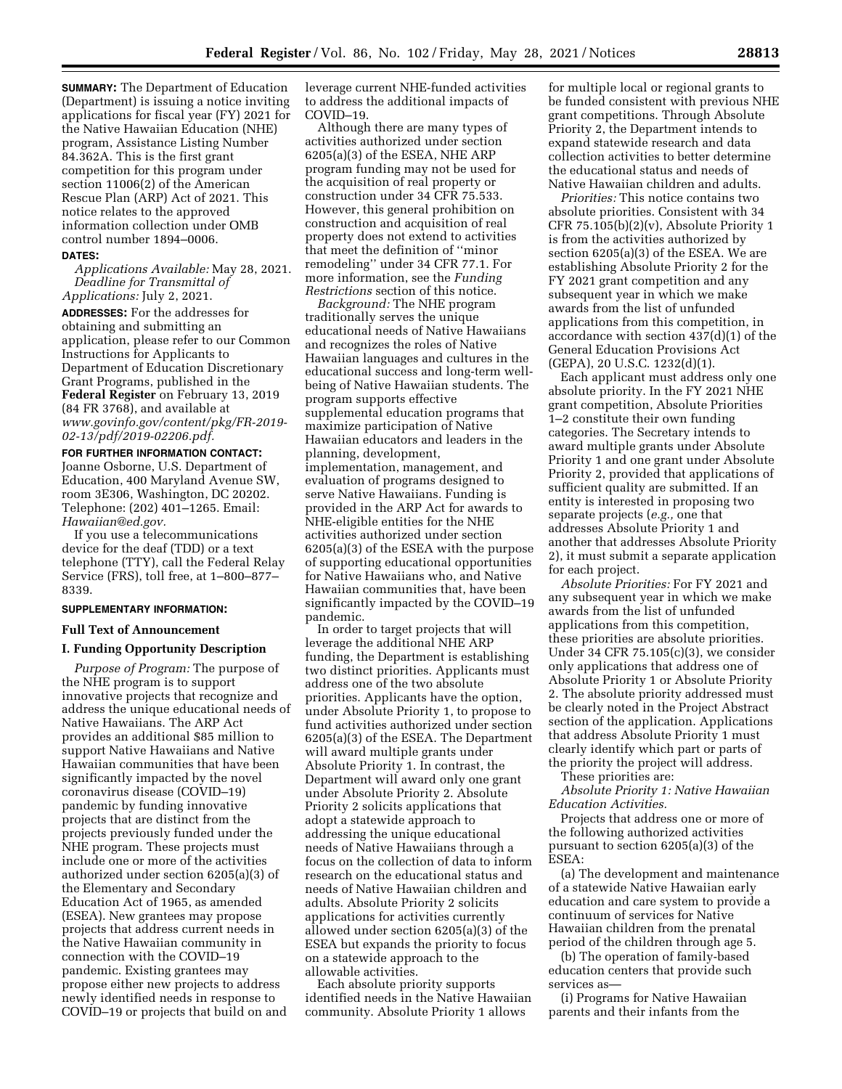**SUMMARY:** The Department of Education (Department) is issuing a notice inviting applications for fiscal year (FY) 2021 for the Native Hawaiian Education (NHE) program, Assistance Listing Number 84.362A. This is the first grant competition for this program under section 11006(2) of the American Rescue Plan (ARP) Act of 2021. This notice relates to the approved information collection under OMB control number 1894–0006.

#### **DATES:**

*Applications Available:* May 28, 2021. *Deadline for Transmittal of Applications:* July 2, 2021.

**ADDRESSES:** For the addresses for obtaining and submitting an application, please refer to our Common Instructions for Applicants to Department of Education Discretionary Grant Programs, published in the **Federal Register** on February 13, 2019 (84 FR 3768), and available at *[www.govinfo.gov/content/pkg/FR-2019-](http://www.govinfo.gov/content/pkg/FR-2019-02-13/pdf/2019-02206.pdf) [02-13/pdf/2019-02206.pdf.](http://www.govinfo.gov/content/pkg/FR-2019-02-13/pdf/2019-02206.pdf)* 

**FOR FURTHER INFORMATION CONTACT:**  Joanne Osborne, U.S. Department of Education, 400 Maryland Avenue SW, room 3E306, Washington, DC 20202. Telephone: (202) 401–1265. Email: *[Hawaiian@ed.gov.](mailto:Hawaiian@ed.gov)* 

If you use a telecommunications device for the deaf (TDD) or a text telephone (TTY), call the Federal Relay Service (FRS), toll free, at 1–800–877– 8339.

# **SUPPLEMENTARY INFORMATION:**

# **Full Text of Announcement**

# **I. Funding Opportunity Description**

*Purpose of Program:* The purpose of the NHE program is to support innovative projects that recognize and address the unique educational needs of Native Hawaiians. The ARP Act provides an additional \$85 million to support Native Hawaiians and Native Hawaiian communities that have been significantly impacted by the novel coronavirus disease (COVID–19) pandemic by funding innovative projects that are distinct from the projects previously funded under the NHE program. These projects must include one or more of the activities authorized under section 6205(a)(3) of the Elementary and Secondary Education Act of 1965, as amended (ESEA). New grantees may propose projects that address current needs in the Native Hawaiian community in connection with the COVID–19 pandemic. Existing grantees may propose either new projects to address newly identified needs in response to COVID–19 or projects that build on and

leverage current NHE-funded activities to address the additional impacts of COVID–19.

Although there are many types of activities authorized under section 6205(a)(3) of the ESEA, NHE ARP program funding may not be used for the acquisition of real property or construction under 34 CFR 75.533. However, this general prohibition on construction and acquisition of real property does not extend to activities that meet the definition of ''minor remodeling'' under 34 CFR 77.1. For more information, see the *Funding Restrictions* section of this notice.

*Background:* The NHE program traditionally serves the unique educational needs of Native Hawaiians and recognizes the roles of Native Hawaiian languages and cultures in the educational success and long-term wellbeing of Native Hawaiian students. The program supports effective supplemental education programs that maximize participation of Native Hawaiian educators and leaders in the planning, development, implementation, management, and evaluation of programs designed to serve Native Hawaiians. Funding is provided in the ARP Act for awards to NHE-eligible entities for the NHE activities authorized under section 6205(a)(3) of the ESEA with the purpose of supporting educational opportunities for Native Hawaiians who, and Native Hawaiian communities that, have been significantly impacted by the COVID–19 pandemic.

In order to target projects that will leverage the additional NHE ARP funding, the Department is establishing two distinct priorities. Applicants must address one of the two absolute priorities. Applicants have the option, under Absolute Priority 1, to propose to fund activities authorized under section 6205(a)(3) of the ESEA. The Department will award multiple grants under Absolute Priority 1. In contrast, the Department will award only one grant under Absolute Priority 2. Absolute Priority 2 solicits applications that adopt a statewide approach to addressing the unique educational needs of Native Hawaiians through a focus on the collection of data to inform research on the educational status and needs of Native Hawaiian children and adults. Absolute Priority 2 solicits applications for activities currently allowed under section 6205(a)(3) of the ESEA but expands the priority to focus on a statewide approach to the allowable activities.

Each absolute priority supports identified needs in the Native Hawaiian community. Absolute Priority 1 allows

for multiple local or regional grants to be funded consistent with previous NHE grant competitions. Through Absolute Priority 2, the Department intends to expand statewide research and data collection activities to better determine the educational status and needs of Native Hawaiian children and adults.

*Priorities:* This notice contains two absolute priorities. Consistent with 34 CFR 75.105(b)(2)(v), Absolute Priority 1 is from the activities authorized by section 6205(a)(3) of the ESEA. We are establishing Absolute Priority 2 for the FY 2021 grant competition and any subsequent year in which we make awards from the list of unfunded applications from this competition, in accordance with section 437(d)(1) of the General Education Provisions Act (GEPA), 20 U.S.C. 1232(d)(1).

Each applicant must address only one absolute priority. In the FY 2021 NHE grant competition, Absolute Priorities 1–2 constitute their own funding categories. The Secretary intends to award multiple grants under Absolute Priority 1 and one grant under Absolute Priority 2, provided that applications of sufficient quality are submitted. If an entity is interested in proposing two separate projects (*e.g.,* one that addresses Absolute Priority 1 and another that addresses Absolute Priority 2), it must submit a separate application for each project.

*Absolute Priorities:* For FY 2021 and any subsequent year in which we make awards from the list of unfunded applications from this competition, these priorities are absolute priorities. Under 34 CFR 75.105 $(c)(3)$ , we consider only applications that address one of Absolute Priority 1 or Absolute Priority 2. The absolute priority addressed must be clearly noted in the Project Abstract section of the application. Applications that address Absolute Priority 1 must clearly identify which part or parts of the priority the project will address.

These priorities are:

*Absolute Priority 1: Native Hawaiian Education Activities.* 

Projects that address one or more of the following authorized activities pursuant to section 6205(a)(3) of the ESEA:

(a) The development and maintenance of a statewide Native Hawaiian early education and care system to provide a continuum of services for Native Hawaiian children from the prenatal period of the children through age 5.

(b) The operation of family-based education centers that provide such services as—

(i) Programs for Native Hawaiian parents and their infants from the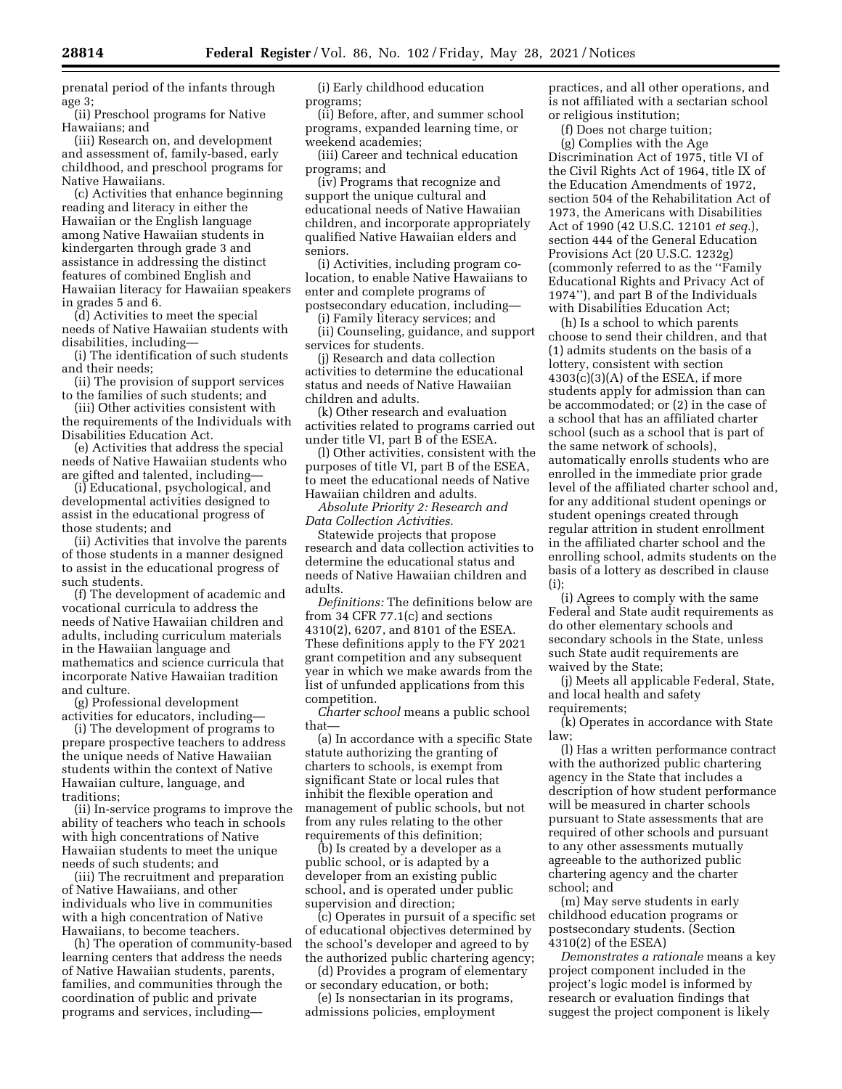prenatal period of the infants through age 3;

(ii) Preschool programs for Native Hawaiians; and (iii) Research on, and development

and assessment of, family-based, early childhood, and preschool programs for Native Hawaiians.

(c) Activities that enhance beginning reading and literacy in either the Hawaiian or the English language among Native Hawaiian students in kindergarten through grade 3 and assistance in addressing the distinct features of combined English and Hawaiian literacy for Hawaiian speakers in grades 5 and 6.

(d) Activities to meet the special needs of Native Hawaiian students with disabilities, including—

(i) The identification of such students and their needs;

(ii) The provision of support services to the families of such students; and

(iii) Other activities consistent with the requirements of the Individuals with Disabilities Education Act.

(e) Activities that address the special needs of Native Hawaiian students who are gifted and talented, including—

(i) Educational, psychological, and developmental activities designed to assist in the educational progress of those students; and

(ii) Activities that involve the parents of those students in a manner designed to assist in the educational progress of such students.

(f) The development of academic and vocational curricula to address the needs of Native Hawaiian children and adults, including curriculum materials in the Hawaiian language and mathematics and science curricula that incorporate Native Hawaiian tradition and culture.

(g) Professional development activities for educators, including—

(i) The development of programs to prepare prospective teachers to address the unique needs of Native Hawaiian students within the context of Native Hawaiian culture, language, and traditions;

(ii) In-service programs to improve the ability of teachers who teach in schools with high concentrations of Native Hawaiian students to meet the unique needs of such students; and

(iii) The recruitment and preparation of Native Hawaiians, and other individuals who live in communities with a high concentration of Native Hawaiians, to become teachers.

(h) The operation of community-based learning centers that address the needs of Native Hawaiian students, parents, families, and communities through the coordination of public and private programs and services, including—

(i) Early childhood education programs;

(ii) Before, after, and summer school programs, expanded learning time, or weekend academies;

(iii) Career and technical education programs; and

(iv) Programs that recognize and support the unique cultural and educational needs of Native Hawaiian children, and incorporate appropriately qualified Native Hawaiian elders and seniors.

(i) Activities, including program colocation, to enable Native Hawaiians to enter and complete programs of postsecondary education, including—

(i) Family literacy services; and

(ii) Counseling, guidance, and support services for students.

(j) Research and data collection activities to determine the educational status and needs of Native Hawaiian children and adults.

(k) Other research and evaluation activities related to programs carried out under title VI, part B of the ESEA.

(l) Other activities, consistent with the purposes of title VI, part B of the ESEA, to meet the educational needs of Native Hawaiian children and adults.

*Absolute Priority 2: Research and Data Collection Activities.* 

Statewide projects that propose research and data collection activities to determine the educational status and needs of Native Hawaiian children and adults.

*Definitions:* The definitions below are from 34 CFR 77.1(c) and sections 4310(2), 6207, and 8101 of the ESEA. These definitions apply to the FY 2021 grant competition and any subsequent year in which we make awards from the list of unfunded applications from this competition.

*Charter school* means a public school that—

(a) In accordance with a specific State statute authorizing the granting of charters to schools, is exempt from significant State or local rules that inhibit the flexible operation and management of public schools, but not from any rules relating to the other requirements of this definition:

(b) Is created by a developer as a public school, or is adapted by a developer from an existing public school, and is operated under public supervision and direction;

(c) Operates in pursuit of a specific set of educational objectives determined by the school's developer and agreed to by the authorized public chartering agency;

(d) Provides a program of elementary or secondary education, or both;

(e) Is nonsectarian in its programs, admissions policies, employment

practices, and all other operations, and is not affiliated with a sectarian school or religious institution;

(f) Does not charge tuition;

(g) Complies with the Age Discrimination Act of 1975, title VI of the Civil Rights Act of 1964, title IX of the Education Amendments of 1972, section 504 of the Rehabilitation Act of 1973, the Americans with Disabilities Act of 1990 (42 U.S.C. 12101 *et seq.*), section 444 of the General Education Provisions Act (20 U.S.C. 1232g) (commonly referred to as the ''Family Educational Rights and Privacy Act of 1974''), and part B of the Individuals with Disabilities Education Act;

(h) Is a school to which parents choose to send their children, and that (1) admits students on the basis of a lottery, consistent with section  $4303(c)(3)(A)$  of the ESEA, if more students apply for admission than can be accommodated; or (2) in the case of a school that has an affiliated charter school (such as a school that is part of the same network of schools), automatically enrolls students who are enrolled in the immediate prior grade level of the affiliated charter school and, for any additional student openings or student openings created through regular attrition in student enrollment in the affiliated charter school and the enrolling school, admits students on the basis of a lottery as described in clause (i);

(i) Agrees to comply with the same Federal and State audit requirements as do other elementary schools and secondary schools in the State, unless such State audit requirements are waived by the State;

(j) Meets all applicable Federal, State, and local health and safety requirements;

(k) Operates in accordance with State law;

(l) Has a written performance contract with the authorized public chartering agency in the State that includes a description of how student performance will be measured in charter schools pursuant to State assessments that are required of other schools and pursuant to any other assessments mutually agreeable to the authorized public chartering agency and the charter school; and

(m) May serve students in early childhood education programs or postsecondary students. (Section 4310(2) of the ESEA)

*Demonstrates a rationale* means a key project component included in the project's logic model is informed by research or evaluation findings that suggest the project component is likely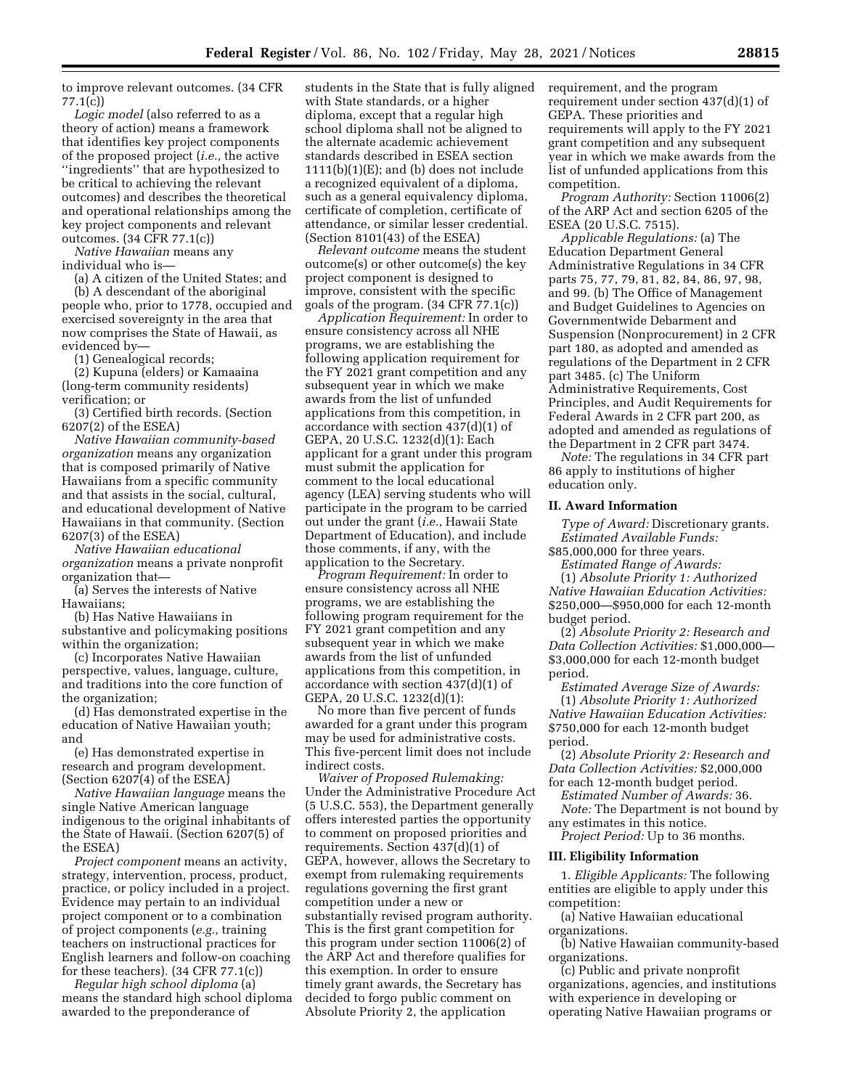to improve relevant outcomes. (34 CFR 77.1(c))

*Logic model* (also referred to as a theory of action) means a framework that identifies key project components of the proposed project (*i.e.,* the active ''ingredients'' that are hypothesized to be critical to achieving the relevant outcomes) and describes the theoretical and operational relationships among the key project components and relevant outcomes. (34 CFR 77.1(c))

*Native Hawaiian* means any individual who is—

(a) A citizen of the United States; and (b) A descendant of the aboriginal people who, prior to 1778, occupied and exercised sovereignty in the area that now comprises the State of Hawaii, as evidenced by—

(1) Genealogical records;

(2) Kupuna (elders) or Kamaaina (long-term community residents) verification; or

(3) Certified birth records. (Section 6207(2) of the ESEA)

*Native Hawaiian community-based organization* means any organization that is composed primarily of Native Hawaiians from a specific community and that assists in the social, cultural, and educational development of Native Hawaiians in that community. (Section 6207(3) of the ESEA)

*Native Hawaiian educational organization* means a private nonprofit organization that—

(a) Serves the interests of Native Hawaiians;

(b) Has Native Hawaiians in substantive and policymaking positions within the organization;

(c) Incorporates Native Hawaiian perspective, values, language, culture, and traditions into the core function of the organization;

(d) Has demonstrated expertise in the education of Native Hawaiian youth; and

(e) Has demonstrated expertise in research and program development. (Section 6207(4) of the ESEA)

*Native Hawaiian language* means the single Native American language indigenous to the original inhabitants of the State of Hawaii. (Section 6207(5) of the ESEA)

*Project component* means an activity, strategy, intervention, process, product, practice, or policy included in a project. Evidence may pertain to an individual project component or to a combination of project components (*e.g.,* training teachers on instructional practices for English learners and follow-on coaching for these teachers). (34 CFR 77.1(c))

*Regular high school diploma* (a) means the standard high school diploma awarded to the preponderance of

students in the State that is fully aligned with State standards, or a higher diploma, except that a regular high school diploma shall not be aligned to the alternate academic achievement standards described in ESEA section  $1111(b)(1)(E)$ ; and (b) does not include a recognized equivalent of a diploma, such as a general equivalency diploma, certificate of completion, certificate of attendance, or similar lesser credential. (Section 8101(43) of the ESEA)

*Relevant outcome* means the student outcome(s) or other outcome(s) the key project component is designed to improve, consistent with the specific goals of the program. (34 CFR 77.1(c))

*Application Requirement:* In order to ensure consistency across all NHE programs, we are establishing the following application requirement for the FY 2021 grant competition and any subsequent year in which we make awards from the list of unfunded applications from this competition, in accordance with section 437(d)(1) of GEPA, 20 U.S.C. 1232(d)(1): Each applicant for a grant under this program must submit the application for comment to the local educational agency (LEA) serving students who will participate in the program to be carried out under the grant (*i.e.,* Hawaii State Department of Education), and include those comments, if any, with the application to the Secretary.

*Program Requirement:* In order to ensure consistency across all NHE programs, we are establishing the following program requirement for the FY 2021 grant competition and any subsequent year in which we make awards from the list of unfunded applications from this competition, in accordance with section 437(d)(1) of GEPA, 20 U.S.C. 1232(d)(1):

No more than five percent of funds awarded for a grant under this program may be used for administrative costs. This five-percent limit does not include indirect costs.

*Waiver of Proposed Rulemaking:*  Under the Administrative Procedure Act (5 U.S.C. 553), the Department generally offers interested parties the opportunity to comment on proposed priorities and requirements. Section 437(d)(1) of GEPA, however, allows the Secretary to exempt from rulemaking requirements regulations governing the first grant competition under a new or substantially revised program authority. This is the first grant competition for this program under section 11006(2) of the ARP Act and therefore qualifies for this exemption. In order to ensure timely grant awards, the Secretary has decided to forgo public comment on Absolute Priority 2, the application

requirement, and the program requirement under section 437(d)(1) of GEPA. These priorities and requirements will apply to the FY 2021 grant competition and any subsequent year in which we make awards from the list of unfunded applications from this competition.

*Program Authority:* Section 11006(2) of the ARP Act and section 6205 of the ESEA (20 U.S.C. 7515).

*Applicable Regulations:* (a) The Education Department General Administrative Regulations in 34 CFR parts 75, 77, 79, 81, 82, 84, 86, 97, 98, and 99. (b) The Office of Management and Budget Guidelines to Agencies on Governmentwide Debarment and Suspension (Nonprocurement) in 2 CFR part 180, as adopted and amended as regulations of the Department in 2 CFR part 3485. (c) The Uniform Administrative Requirements, Cost Principles, and Audit Requirements for Federal Awards in 2 CFR part 200, as adopted and amended as regulations of the Department in 2 CFR part 3474.

*Note:* The regulations in 34 CFR part 86 apply to institutions of higher education only.

## **II. Award Information**

*Type of Award:* Discretionary grants. *Estimated Available Funds:*  \$85,000,000 for three years.

*Estimated Range of Awards:* 

(1) *Absolute Priority 1: Authorized Native Hawaiian Education Activities:*  \$250,000—\$950,000 for each 12-month budget period.

(2) *Absolute Priority 2: Research and Data Collection Activities:* \$1,000,000— \$3,000,000 for each 12-month budget period.

*Estimated Average Size of Awards:*  (1) *Absolute Priority 1: Authorized Native Hawaiian Education Activities:*  \$750,000 for each 12-month budget period.

(2) *Absolute Priority 2: Research and Data Collection Activities:* \$2,000,000 for each 12-month budget period.

*Estimated Number of Awards:* 36.

*Note:* The Department is not bound by any estimates in this notice.

*Project Period:* Up to 36 months.

## **III. Eligibility Information**

1. *Eligible Applicants:* The following entities are eligible to apply under this competition:

(a) Native Hawaiian educational organizations.

(b) Native Hawaiian community-based organizations.

(c) Public and private nonprofit organizations, agencies, and institutions with experience in developing or operating Native Hawaiian programs or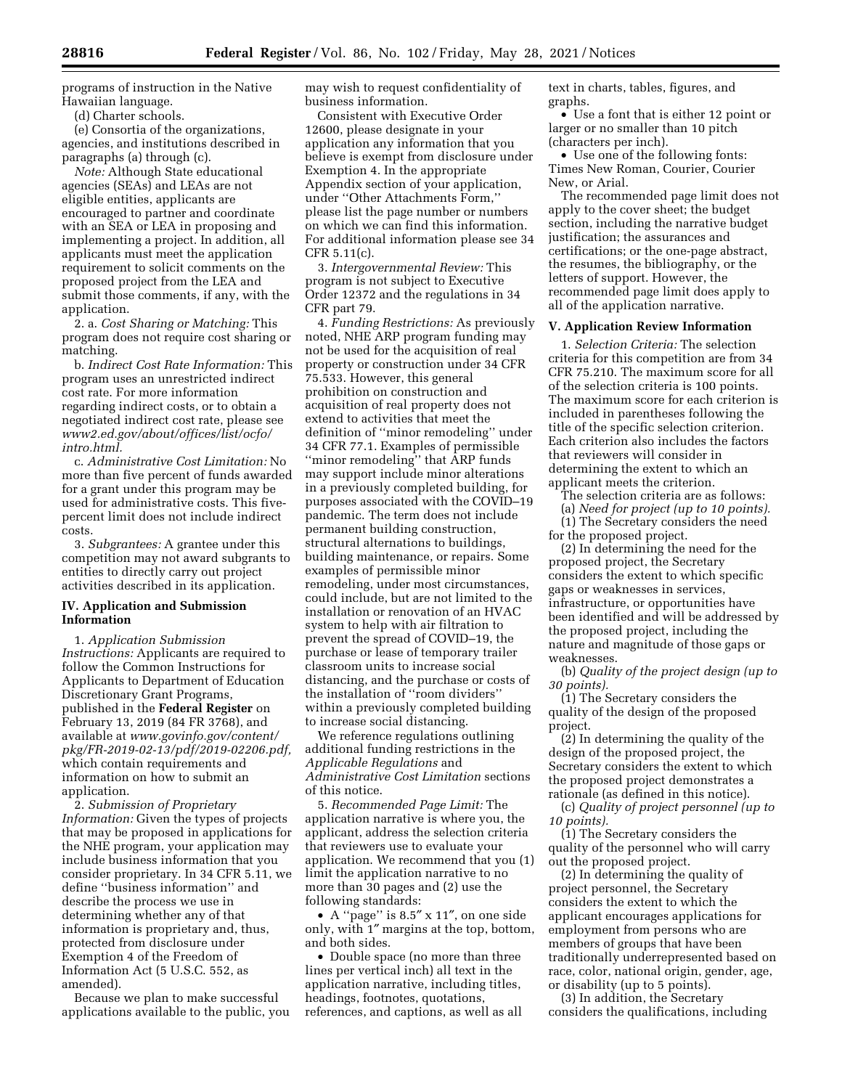programs of instruction in the Native Hawaiian language.

(d) Charter schools.

(e) Consortia of the organizations, agencies, and institutions described in paragraphs (a) through (c).

*Note:* Although State educational agencies (SEAs) and LEAs are not eligible entities, applicants are encouraged to partner and coordinate with an SEA or LEA in proposing and implementing a project. In addition, all applicants must meet the application requirement to solicit comments on the proposed project from the LEA and submit those comments, if any, with the application.

2. a. *Cost Sharing or Matching:* This program does not require cost sharing or matching.

b. *Indirect Cost Rate Information:* This program uses an unrestricted indirect cost rate. For more information regarding indirect costs, or to obtain a negotiated indirect cost rate, please see *[www2.ed.gov/about/offices/list/ocfo/](http://www2.ed.gov/about/offices/list/ocfo/intro.html)  [intro.html.](http://www2.ed.gov/about/offices/list/ocfo/intro.html)* 

c. *Administrative Cost Limitation:* No more than five percent of funds awarded for a grant under this program may be used for administrative costs. This fivepercent limit does not include indirect costs.

3. *Subgrantees:* A grantee under this competition may not award subgrants to entities to directly carry out project activities described in its application.

# **IV. Application and Submission Information**

1. *Application Submission Instructions:* Applicants are required to follow the Common Instructions for Applicants to Department of Education Discretionary Grant Programs, published in the **Federal Register** on February 13, 2019 (84 FR 3768), and available at *[www.govinfo.gov/content/](http://www.govinfo.gov/content/pkg/FR-2019-02-13/pdf/2019-02206.pdf)  [pkg/FR-2019-02-13/pdf/2019-02206.pdf,](http://www.govinfo.gov/content/pkg/FR-2019-02-13/pdf/2019-02206.pdf)*  which contain requirements and information on how to submit an application.

2. *Submission of Proprietary Information:* Given the types of projects that may be proposed in applications for the NHE program, your application may include business information that you consider proprietary. In 34 CFR 5.11, we define ''business information'' and describe the process we use in determining whether any of that information is proprietary and, thus, protected from disclosure under Exemption 4 of the Freedom of Information Act (5 U.S.C. 552, as amended).

Because we plan to make successful applications available to the public, you may wish to request confidentiality of business information.

Consistent with Executive Order 12600, please designate in your application any information that you believe is exempt from disclosure under Exemption 4. In the appropriate Appendix section of your application, under ''Other Attachments Form,'' please list the page number or numbers on which we can find this information. For additional information please see 34 CFR 5.11(c).

3. *Intergovernmental Review:* This program is not subject to Executive Order 12372 and the regulations in 34 CFR part 79.

4. *Funding Restrictions:* As previously noted, NHE ARP program funding may not be used for the acquisition of real property or construction under 34 CFR 75.533. However, this general prohibition on construction and acquisition of real property does not extend to activities that meet the definition of ''minor remodeling'' under 34 CFR 77.1. Examples of permissible ''minor remodeling'' that ARP funds may support include minor alterations in a previously completed building, for purposes associated with the COVID–19 pandemic. The term does not include permanent building construction, structural alternations to buildings, building maintenance, or repairs. Some examples of permissible minor remodeling, under most circumstances, could include, but are not limited to the installation or renovation of an HVAC system to help with air filtration to prevent the spread of COVID–19, the purchase or lease of temporary trailer classroom units to increase social distancing, and the purchase or costs of the installation of ''room dividers'' within a previously completed building to increase social distancing.

We reference regulations outlining additional funding restrictions in the *Applicable Regulations* and *Administrative Cost Limitation* sections of this notice.

5. *Recommended Page Limit:* The application narrative is where you, the applicant, address the selection criteria that reviewers use to evaluate your application. We recommend that you (1) limit the application narrative to no more than 30 pages and (2) use the following standards:

• A ''page'' is 8.5″ x 11″, on one side only, with 1″ margins at the top, bottom, and both sides.

• Double space (no more than three lines per vertical inch) all text in the application narrative, including titles, headings, footnotes, quotations, references, and captions, as well as all text in charts, tables, figures, and graphs.

• Use a font that is either 12 point or larger or no smaller than 10 pitch (characters per inch).

• Use one of the following fonts: Times New Roman, Courier, Courier New, or Arial.

The recommended page limit does not apply to the cover sheet; the budget section, including the narrative budget justification; the assurances and certifications; or the one-page abstract, the resumes, the bibliography, or the letters of support. However, the recommended page limit does apply to all of the application narrative.

## **V. Application Review Information**

1. *Selection Criteria:* The selection criteria for this competition are from 34 CFR 75.210. The maximum score for all of the selection criteria is 100 points. The maximum score for each criterion is included in parentheses following the title of the specific selection criterion. Each criterion also includes the factors that reviewers will consider in determining the extent to which an applicant meets the criterion.

The selection criteria are as follows:

(a) *Need for project (up to 10 points).*  (1) The Secretary considers the need

for the proposed project. (2) In determining the need for the

proposed project, the Secretary considers the extent to which specific gaps or weaknesses in services, infrastructure, or opportunities have been identified and will be addressed by the proposed project, including the nature and magnitude of those gaps or weaknesses.

(b) *Quality of the project design (up to 30 points).* 

(1) The Secretary considers the quality of the design of the proposed project.

(2) In determining the quality of the design of the proposed project, the Secretary considers the extent to which the proposed project demonstrates a rationale (as defined in this notice).

(c) *Quality of project personnel (up to 10 points).* 

(1) The Secretary considers the quality of the personnel who will carry out the proposed project.

(2) In determining the quality of project personnel, the Secretary considers the extent to which the applicant encourages applications for employment from persons who are members of groups that have been traditionally underrepresented based on race, color, national origin, gender, age, or disability (up to 5 points).

(3) In addition, the Secretary considers the qualifications, including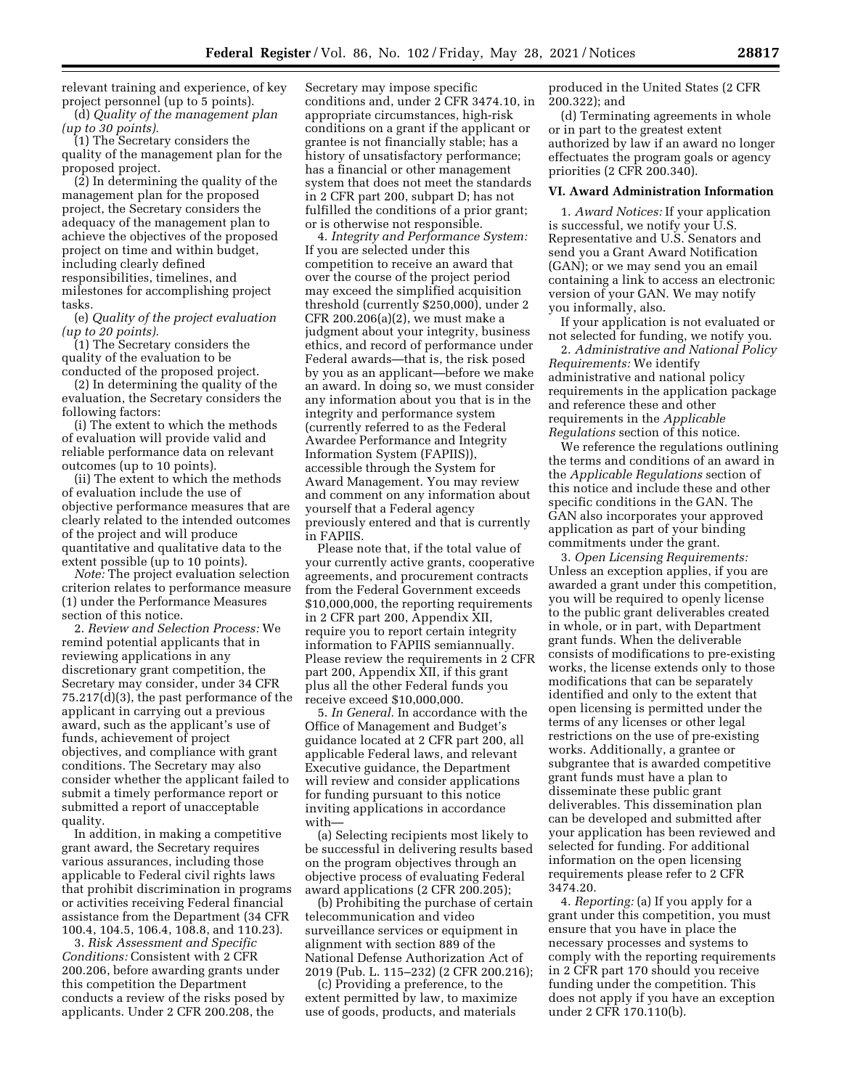relevant training and experience, of key project personnel (up to 5 points). (d) *Quality of the management plan* 

*(up to 30 points).* 

(1) The Secretary considers the quality of the management plan for the proposed project.

(2) In determining the quality of the management plan for the proposed project, the Secretary considers the adequacy of the management plan to achieve the objectives of the proposed project on time and within budget, including clearly defined responsibilities, timelines, and milestones for accomplishing project tasks.

(e) *Quality of the project evaluation (up to 20 points).* 

(1) The Secretary considers the quality of the evaluation to be conducted of the proposed project.

(2) In determining the quality of the evaluation, the Secretary considers the following factors:

(i) The extent to which the methods of evaluation will provide valid and reliable performance data on relevant outcomes (up to 10 points).

(ii) The extent to which the methods of evaluation include the use of objective performance measures that are clearly related to the intended outcomes of the project and will produce quantitative and qualitative data to the extent possible (up to 10 points).

*Note:* The project evaluation selection criterion relates to performance measure (1) under the Performance Measures section of this notice.

2. *Review and Selection Process:* We remind potential applicants that in reviewing applications in any discretionary grant competition, the Secretary may consider, under 34 CFR 75.217(d)(3), the past performance of the applicant in carrying out a previous award, such as the applicant's use of funds, achievement of project objectives, and compliance with grant conditions. The Secretary may also consider whether the applicant failed to submit a timely performance report or submitted a report of unacceptable quality.

In addition, in making a competitive grant award, the Secretary requires various assurances, including those applicable to Federal civil rights laws that prohibit discrimination in programs or activities receiving Federal financial assistance from the Department (34 CFR 100.4, 104.5, 106.4, 108.8, and 110.23).

3. *Risk Assessment and Specific Conditions:* Consistent with 2 CFR 200.206, before awarding grants under this competition the Department conducts a review of the risks posed by applicants. Under 2 CFR 200.208, the

Secretary may impose specific conditions and, under 2 CFR 3474.10, in appropriate circumstances, high-risk conditions on a grant if the applicant or grantee is not financially stable; has a history of unsatisfactory performance; has a financial or other management system that does not meet the standards in 2 CFR part 200, subpart D; has not fulfilled the conditions of a prior grant; or is otherwise not responsible.

4. *Integrity and Performance System:*  If you are selected under this competition to receive an award that over the course of the project period may exceed the simplified acquisition threshold (currently \$250,000), under 2 CFR 200.206(a)(2), we must make a judgment about your integrity, business ethics, and record of performance under Federal awards—that is, the risk posed by you as an applicant—before we make an award. In doing so, we must consider any information about you that is in the integrity and performance system (currently referred to as the Federal Awardee Performance and Integrity Information System (FAPIIS)), accessible through the System for Award Management. You may review and comment on any information about yourself that a Federal agency previously entered and that is currently in FAPIIS.

Please note that, if the total value of your currently active grants, cooperative agreements, and procurement contracts from the Federal Government exceeds \$10,000,000, the reporting requirements in 2 CFR part 200, Appendix XII, require you to report certain integrity information to FAPIIS semiannually. Please review the requirements in 2 CFR part 200, Appendix XII, if this grant plus all the other Federal funds you receive exceed \$10,000,000.

5. *In General.* In accordance with the Office of Management and Budget's guidance located at 2 CFR part 200, all applicable Federal laws, and relevant Executive guidance, the Department will review and consider applications for funding pursuant to this notice inviting applications in accordance with—

(a) Selecting recipients most likely to be successful in delivering results based on the program objectives through an objective process of evaluating Federal award applications (2 CFR 200.205);

(b) Prohibiting the purchase of certain telecommunication and video surveillance services or equipment in alignment with section 889 of the National Defense Authorization Act of 2019 (Pub. L. 115–232) (2 CFR 200.216);

(c) Providing a preference, to the extent permitted by law, to maximize use of goods, products, and materials

produced in the United States (2 CFR 200.322); and

(d) Terminating agreements in whole or in part to the greatest extent authorized by law if an award no longer effectuates the program goals or agency priorities (2 CFR 200.340).

## **VI. Award Administration Information**

1. *Award Notices:* If your application is successful, we notify your U.S. Representative and U.S. Senators and send you a Grant Award Notification (GAN); or we may send you an email containing a link to access an electronic version of your GAN. We may notify you informally, also.

If your application is not evaluated or not selected for funding, we notify you.

2. *Administrative and National Policy Requirements:* We identify administrative and national policy requirements in the application package and reference these and other requirements in the *Applicable Regulations* section of this notice.

We reference the regulations outlining the terms and conditions of an award in the *Applicable Regulations* section of this notice and include these and other specific conditions in the GAN. The GAN also incorporates your approved application as part of your binding commitments under the grant.

3. *Open Licensing Requirements:*  Unless an exception applies, if you are awarded a grant under this competition, you will be required to openly license to the public grant deliverables created in whole, or in part, with Department grant funds. When the deliverable consists of modifications to pre-existing works, the license extends only to those modifications that can be separately identified and only to the extent that open licensing is permitted under the terms of any licenses or other legal restrictions on the use of pre-existing works. Additionally, a grantee or subgrantee that is awarded competitive grant funds must have a plan to disseminate these public grant deliverables. This dissemination plan can be developed and submitted after your application has been reviewed and selected for funding. For additional information on the open licensing requirements please refer to 2 CFR 3474.20.

4. *Reporting:* (a) If you apply for a grant under this competition, you must ensure that you have in place the necessary processes and systems to comply with the reporting requirements in 2 CFR part 170 should you receive funding under the competition. This does not apply if you have an exception under 2 CFR 170.110(b).